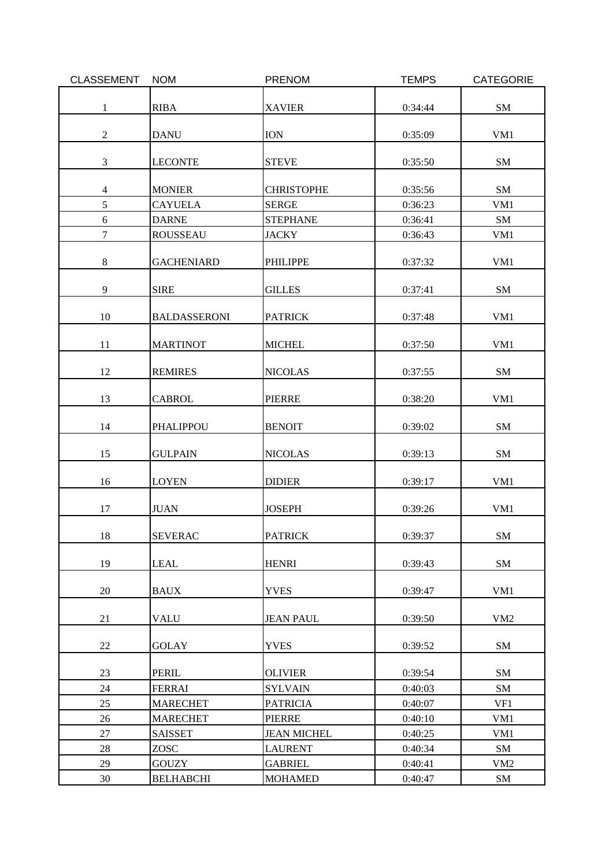| <b>CLASSEMENT</b> | <b>NOM</b>          | <b>PRENOM</b>      | <b>TEMPS</b> | <b>CATEGORIE</b> |
|-------------------|---------------------|--------------------|--------------|------------------|
|                   |                     |                    |              |                  |
| $\mathbf{1}$      | <b>RIBA</b>         | <b>XAVIER</b>      | 0:34:44      | ${\rm SM}$       |
|                   |                     |                    |              |                  |
| $\sqrt{2}$        | <b>DANU</b>         | <b>ION</b>         | 0:35:09      | VM1              |
|                   |                     |                    |              |                  |
| $\mathfrak{Z}$    | <b>LECONTE</b>      | <b>STEVE</b>       | 0:35:50      | SM               |
|                   |                     |                    |              |                  |
| $\overline{4}$    | <b>MONIER</b>       | <b>CHRISTOPHE</b>  | 0:35:56      | SM               |
| 5                 | <b>CAYUELA</b>      | <b>SERGE</b>       | 0:36:23      | VM1              |
| 6                 | <b>DARNE</b>        | <b>STEPHANE</b>    | 0:36:41      | SM               |
| $\overline{7}$    | <b>ROUSSEAU</b>     | <b>JACKY</b>       | 0:36:43      | VM1              |
|                   |                     |                    |              |                  |
| $\,8\,$           | <b>GACHENIARD</b>   | <b>PHILIPPE</b>    | 0:37:32      | VM1              |
|                   |                     |                    |              |                  |
| 9                 | <b>SIRE</b>         | <b>GILLES</b>      | 0:37:41      | SM               |
|                   |                     |                    |              |                  |
| 10                | <b>BALDASSERONI</b> | <b>PATRICK</b>     | 0:37:48      | VM1              |
|                   |                     |                    |              |                  |
| 11                | <b>MARTINOT</b>     | <b>MICHEL</b>      | 0:37:50      | VM1              |
|                   |                     |                    |              |                  |
| 12                | <b>REMIRES</b>      | <b>NICOLAS</b>     | 0:37:55      | ${\bf SM}$       |
|                   |                     |                    |              |                  |
| 13                | <b>CABROL</b>       | <b>PIERRE</b>      | 0:38:20      | VM1              |
| 14                | PHALIPPOU           | <b>BENOIT</b>      | 0:39:02      | SM               |
|                   |                     |                    |              |                  |
| 15                | <b>GULPAIN</b>      | <b>NICOLAS</b>     | 0:39:13      | SM               |
|                   |                     |                    |              |                  |
| 16                | <b>LOYEN</b>        | <b>DIDIER</b>      | 0:39:17      | VM1              |
|                   |                     |                    |              |                  |
| 17                | <b>JUAN</b>         | <b>JOSEPH</b>      | 0:39:26      | VM1              |
|                   |                     |                    |              |                  |
| $18\,$            | <b>SEVERAC</b>      | <b>PATRICK</b>     | 0:39:37      | SM               |
|                   |                     |                    |              |                  |
| 19                | <b>LEAL</b>         | <b>HENRI</b>       | 0:39:43      | SM               |
|                   |                     |                    |              |                  |
| 20                | <b>BAUX</b>         | <b>YVES</b>        | 0:39:47      | VM1              |
|                   |                     |                    |              |                  |
| 21                | <b>VALU</b>         | <b>JEAN PAUL</b>   | 0:39:50      | VM2              |
|                   |                     |                    |              |                  |
| 22                | <b>GOLAY</b>        | <b>YVES</b>        | 0:39:52      | SM               |
|                   |                     |                    |              |                  |
| 23                | PERIL               | <b>OLIVIER</b>     | 0:39:54      | SM               |
| 24                | <b>FERRAI</b>       | <b>SYLVAIN</b>     | 0:40:03      | SM               |
| 25                | <b>MARECHET</b>     | <b>PATRICIA</b>    | 0:40:07      | VF1              |
| 26                | <b>MARECHET</b>     | PIERRE             | 0:40:10      | VM1              |
| 27                | <b>SAISSET</b>      | <b>JEAN MICHEL</b> | 0:40:25      | VM1              |
| 28                | <b>ZOSC</b>         | LAURENT            | 0:40:34      | SM               |
| 29                | <b>GOUZY</b>        | <b>GABRIEL</b>     | 0:40:41      | VM <sub>2</sub>  |
| 30                | <b>BELHABCHI</b>    | <b>MOHAMED</b>     | 0:40:47      | SM               |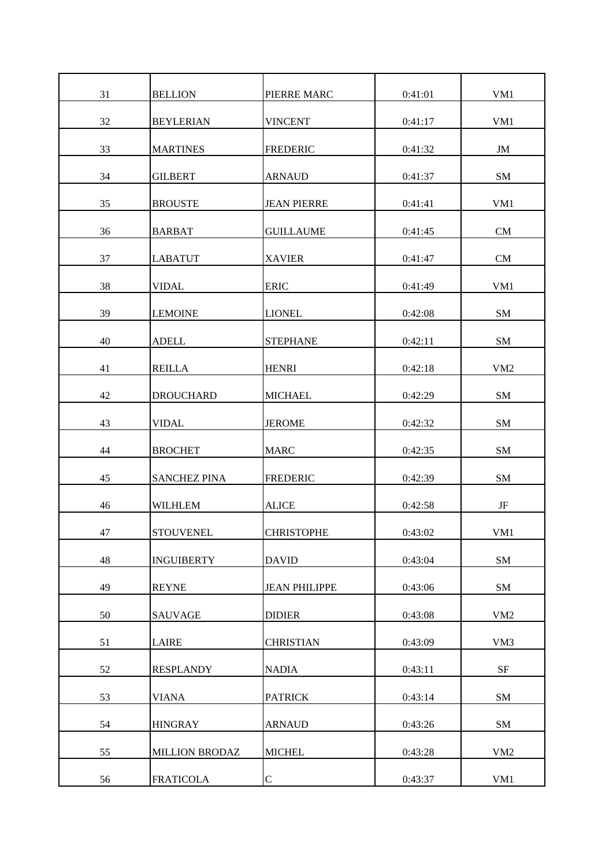| 31 | <b>BELLION</b>        | PIERRE MARC          | 0:41:01 | VM1             |
|----|-----------------------|----------------------|---------|-----------------|
| 32 | <b>BEYLERIAN</b>      | <b>VINCENT</b>       | 0:41:17 | VM1             |
| 33 | <b>MARTINES</b>       | <b>FREDERIC</b>      | 0:41:32 | JM              |
| 34 | <b>GILBERT</b>        | <b>ARNAUD</b>        | 0:41:37 | ${\bf SM}$      |
| 35 | <b>BROUSTE</b>        | <b>JEAN PIERRE</b>   | 0:41:41 | VM1             |
| 36 | <b>BARBAT</b>         | <b>GUILLAUME</b>     | 0:41:45 | CM              |
| 37 | <b>LABATUT</b>        | <b>XAVIER</b>        | 0:41:47 | CM              |
| 38 | <b>VIDAL</b>          | <b>ERIC</b>          | 0:41:49 | VM1             |
| 39 | <b>LEMOINE</b>        | <b>LIONEL</b>        | 0:42:08 | ${\bf SM}$      |
| 40 | <b>ADELL</b>          | <b>STEPHANE</b>      | 0:42:11 | SM              |
| 41 | <b>REILLA</b>         | <b>HENRI</b>         | 0:42:18 | VM <sub>2</sub> |
| 42 | <b>DROUCHARD</b>      | <b>MICHAEL</b>       | 0:42:29 | SM              |
| 43 | <b>VIDAL</b>          | <b>JEROME</b>        | 0:42:32 | SM              |
| 44 | <b>BROCHET</b>        | <b>MARC</b>          | 0:42:35 | SM              |
| 45 | <b>SANCHEZ PINA</b>   | <b>FREDERIC</b>      | 0:42:39 | SM              |
| 46 | <b>WILHLEM</b>        | <b>ALICE</b>         | 0:42:58 | JF              |
| 47 | <b>STOUVENEL</b>      | <b>CHRISTOPHE</b>    | 0:43:02 | VM1             |
| 48 | <b>INGUIBERTY</b>     | <b>DAVID</b>         | 0:43:04 | ${\bf SM}$      |
| 49 | <b>REYNE</b>          | <b>JEAN PHILIPPE</b> | 0:43:06 | SM              |
| 50 | <b>SAUVAGE</b>        | <b>DIDIER</b>        | 0:43:08 | VM <sub>2</sub> |
| 51 | LAIRE                 | <b>CHRISTIAN</b>     | 0:43:09 | VM <sub>3</sub> |
| 52 | <b>RESPLANDY</b>      | <b>NADIA</b>         | 0:43:11 | $\rm{SF}$       |
| 53 | <b>VIANA</b>          | <b>PATRICK</b>       | 0:43:14 | SM              |
| 54 | <b>HINGRAY</b>        | <b>ARNAUD</b>        | 0:43:26 | SM              |
| 55 | <b>MILLION BRODAZ</b> | <b>MICHEL</b>        | 0:43:28 | VM <sub>2</sub> |
| 56 | <b>FRATICOLA</b>      | $\mathbf C$          | 0:43:37 | VM1             |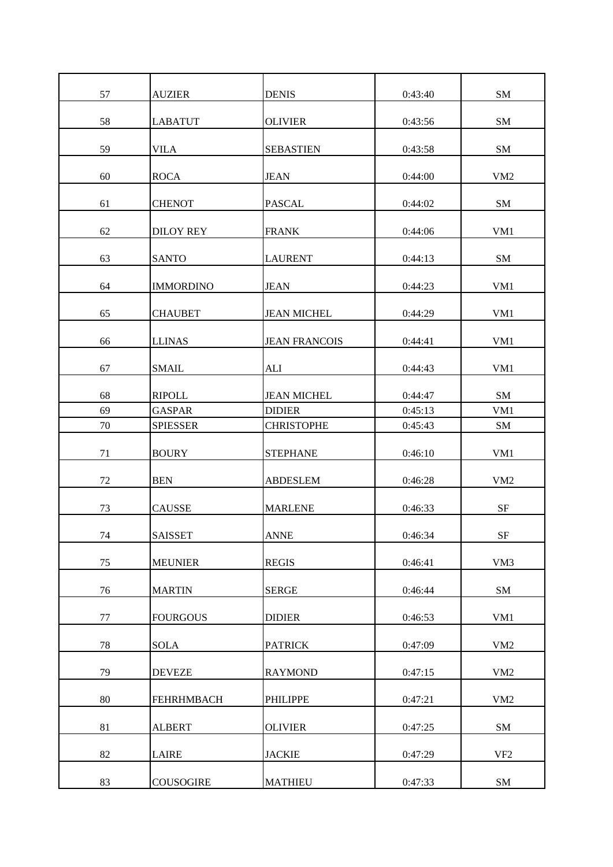| 57 | <b>AUZIER</b>     | <b>DENIS</b>         | 0:43:40 | SM              |
|----|-------------------|----------------------|---------|-----------------|
| 58 | <b>LABATUT</b>    | <b>OLIVIER</b>       | 0:43:56 | SM              |
| 59 | <b>VILA</b>       | <b>SEBASTIEN</b>     | 0:43:58 | SM              |
| 60 | <b>ROCA</b>       | <b>JEAN</b>          | 0:44:00 | VM <sub>2</sub> |
| 61 | <b>CHENOT</b>     | <b>PASCAL</b>        | 0:44:02 | SM              |
| 62 | <b>DILOY REY</b>  | <b>FRANK</b>         | 0:44:06 | VM1             |
| 63 | <b>SANTO</b>      | <b>LAURENT</b>       | 0:44:13 | SM              |
| 64 | <b>IMMORDINO</b>  | <b>JEAN</b>          | 0:44:23 | VM1             |
| 65 | <b>CHAUBET</b>    | <b>JEAN MICHEL</b>   | 0:44:29 | VM1             |
| 66 | <b>LLINAS</b>     | <b>JEAN FRANCOIS</b> | 0:44:41 | VM1             |
| 67 | <b>SMAIL</b>      | ALI                  | 0:44:43 | VM1             |
| 68 | <b>RIPOLL</b>     | <b>JEAN MICHEL</b>   | 0:44:47 | SM              |
| 69 | <b>GASPAR</b>     | <b>DIDIER</b>        | 0:45:13 | VM1             |
| 70 | <b>SPIESSER</b>   | <b>CHRISTOPHE</b>    | 0:45:43 | SM              |
| 71 | <b>BOURY</b>      | <b>STEPHANE</b>      | 0:46:10 | VM1             |
| 72 | <b>BEN</b>        | <b>ABDESLEM</b>      | 0:46:28 | VM <sub>2</sub> |
| 73 | <b>CAUSSE</b>     | <b>MARLENE</b>       | 0:46:33 | $\rm{SF}$       |
| 74 | <b>SAISSET</b>    | <b>ANNE</b>          | 0:46:34 | $\rm{SF}$       |
| 75 | <b>MEUNIER</b>    | <b>REGIS</b>         | 0:46:41 | VM3             |
| 76 | <b>MARTIN</b>     | <b>SERGE</b>         | 0:46:44 | SM              |
| 77 | <b>FOURGOUS</b>   | <b>DIDIER</b>        | 0:46:53 | VM1             |
| 78 | <b>SOLA</b>       | <b>PATRICK</b>       | 0:47:09 | VM <sub>2</sub> |
| 79 | <b>DEVEZE</b>     | <b>RAYMOND</b>       | 0:47:15 | VM <sub>2</sub> |
| 80 | <b>FEHRHMBACH</b> | <b>PHILIPPE</b>      | 0:47:21 | VM <sub>2</sub> |
| 81 | <b>ALBERT</b>     | <b>OLIVIER</b>       | 0:47:25 | SM              |
| 82 | <b>LAIRE</b>      | <b>JACKIE</b>        | 0:47:29 | VF <sub>2</sub> |
| 83 | <b>COUSOGIRE</b>  | <b>MATHIEU</b>       | 0:47:33 | SM              |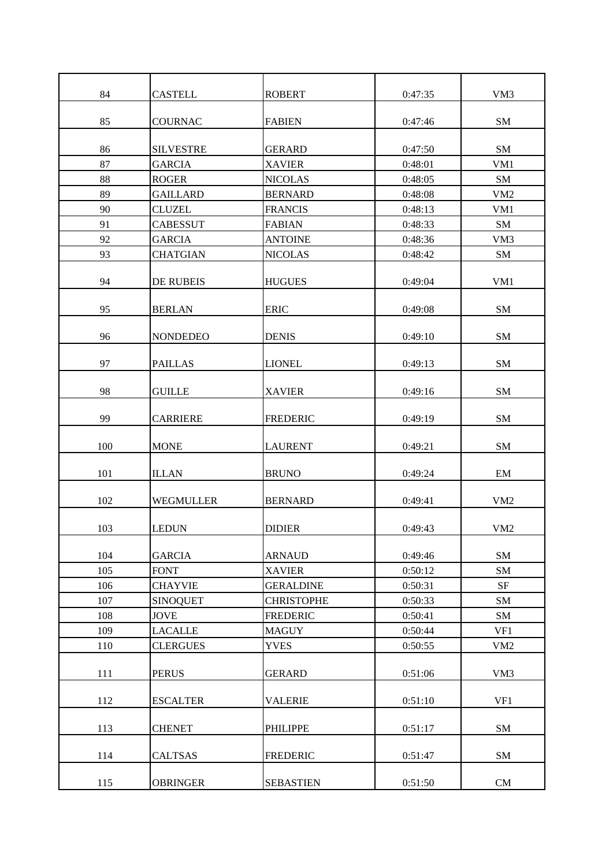| 84  | <b>CASTELL</b>   | <b>ROBERT</b>     | 0:47:35 | VM3             |
|-----|------------------|-------------------|---------|-----------------|
| 85  | <b>COURNAC</b>   | <b>FABIEN</b>     | 0:47:46 | SM              |
|     |                  |                   |         |                 |
| 86  | <b>SILVESTRE</b> | <b>GERARD</b>     | 0:47:50 | SM              |
| 87  | <b>GARCIA</b>    | <b>XAVIER</b>     | 0:48:01 | VM1             |
| 88  | <b>ROGER</b>     | <b>NICOLAS</b>    | 0:48:05 | SM              |
| 89  | <b>GAILLARD</b>  | <b>BERNARD</b>    | 0:48:08 | VM <sub>2</sub> |
| 90  | <b>CLUZEL</b>    | <b>FRANCIS</b>    | 0:48:13 | VM1             |
| 91  | <b>CABESSUT</b>  | <b>FABIAN</b>     | 0:48:33 | SM              |
| 92  | <b>GARCIA</b>    | <b>ANTOINE</b>    | 0:48:36 | VM3             |
| 93  | <b>CHATGIAN</b>  | <b>NICOLAS</b>    | 0:48:42 | SM              |
| 94  | <b>DE RUBEIS</b> | <b>HUGUES</b>     | 0:49:04 | VM1             |
| 95  | <b>BERLAN</b>    | <b>ERIC</b>       | 0:49:08 | SM              |
| 96  | <b>NONDEDEO</b>  | <b>DENIS</b>      | 0:49:10 | SM              |
| 97  | <b>PAILLAS</b>   | <b>LIONEL</b>     | 0:49:13 | SM              |
| 98  | <b>GUILLE</b>    | <b>XAVIER</b>     | 0:49:16 | SM              |
| 99  | <b>CARRIERE</b>  | <b>FREDERIC</b>   | 0:49:19 | SM              |
| 100 | <b>MONE</b>      | <b>LAURENT</b>    | 0:49:21 | SM              |
| 101 | <b>ILLAN</b>     | <b>BRUNO</b>      | 0:49:24 | EM              |
| 102 | WEGMULLER        | <b>BERNARD</b>    | 0:49:41 | VM <sub>2</sub> |
| 103 | <b>LEDUN</b>     | <b>DIDIER</b>     | 0:49:43 | VM <sub>2</sub> |
| 104 | <b>GARCIA</b>    | <b>ARNAUD</b>     | 0:49:46 | SM              |
| 105 | <b>FONT</b>      | <b>XAVIER</b>     | 0:50:12 | SM              |
| 106 | <b>CHAYVIE</b>   | <b>GERALDINE</b>  | 0:50:31 | $\rm{SF}$       |
| 107 | <b>SINOQUET</b>  | <b>CHRISTOPHE</b> | 0:50:33 | SM              |
| 108 | <b>JOVE</b>      | <b>FREDERIC</b>   | 0:50:41 | ${\bf SM}$      |
| 109 | <b>LACALLE</b>   | <b>MAGUY</b>      | 0:50:44 | VF1             |
| 110 | <b>CLERGUES</b>  | <b>YVES</b>       | 0:50:55 | VM <sub>2</sub> |
| 111 | <b>PERUS</b>     | <b>GERARD</b>     | 0:51:06 | VM3             |
| 112 | <b>ESCALTER</b>  | <b>VALERIE</b>    | 0:51:10 | VF1             |
| 113 | <b>CHENET</b>    | <b>PHILIPPE</b>   | 0:51:17 | ${\bf SM}$      |
| 114 | <b>CALTSAS</b>   | <b>FREDERIC</b>   | 0:51:47 | SM              |
| 115 | <b>OBRINGER</b>  | <b>SEBASTIEN</b>  | 0:51:50 | CM              |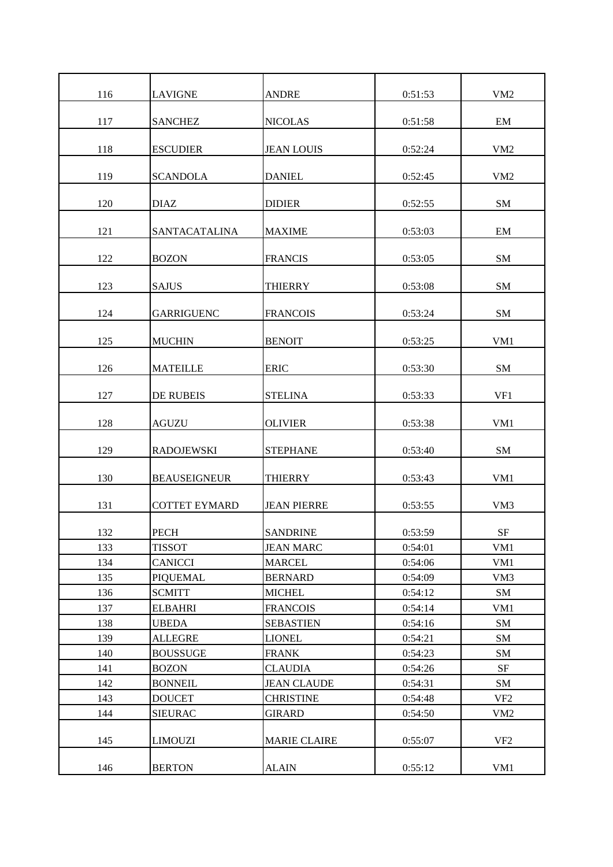| 116 | <b>LAVIGNE</b>       | <b>ANDRE</b>        | 0:51:53 | VM <sub>2</sub> |
|-----|----------------------|---------------------|---------|-----------------|
| 117 | <b>SANCHEZ</b>       | <b>NICOLAS</b>      | 0:51:58 | EM              |
| 118 | <b>ESCUDIER</b>      | <b>JEAN LOUIS</b>   | 0:52:24 | VM <sub>2</sub> |
| 119 | <b>SCANDOLA</b>      | <b>DANIEL</b>       | 0:52:45 | VM <sub>2</sub> |
| 120 | <b>DIAZ</b>          | <b>DIDIER</b>       | 0:52:55 | SM              |
| 121 | <b>SANTACATALINA</b> | <b>MAXIME</b>       | 0:53:03 | EM              |
| 122 | <b>BOZON</b>         | <b>FRANCIS</b>      | 0:53:05 | SM              |
| 123 | <b>SAJUS</b>         | <b>THIERRY</b>      | 0:53:08 | SM              |
| 124 | <b>GARRIGUENC</b>    | <b>FRANCOIS</b>     | 0:53:24 | SM              |
| 125 | <b>MUCHIN</b>        | <b>BENOIT</b>       | 0:53:25 | VM1             |
| 126 | <b>MATEILLE</b>      | <b>ERIC</b>         | 0:53:30 | SM              |
| 127 | DE RUBEIS            | <b>STELINA</b>      | 0:53:33 | VF1             |
| 128 | <b>AGUZU</b>         | <b>OLIVIER</b>      | 0:53:38 | VM1             |
| 129 | <b>RADOJEWSKI</b>    | <b>STEPHANE</b>     | 0:53:40 | SM              |
| 130 | <b>BEAUSEIGNEUR</b>  | <b>THIERRY</b>      | 0:53:43 | VM1             |
| 131 | <b>COTTET EYMARD</b> | <b>JEAN PIERRE</b>  | 0:53:55 | VM3             |
| 132 | <b>PECH</b>          | <b>SANDRINE</b>     | 0:53:59 | <b>SF</b>       |
| 133 | <b>TISSOT</b>        | <b>JEAN MARC</b>    | 0:54:01 | VM1             |
| 134 | <b>CANICCI</b>       | MARCEL              | 0:54:06 | VM1             |
| 135 | <b>PIQUEMAL</b>      | <b>BERNARD</b>      | 0:54:09 | VM3             |
| 136 | <b>SCMITT</b>        | <b>MICHEL</b>       | 0:54:12 | SM              |
| 137 | <b>ELBAHRI</b>       | <b>FRANCOIS</b>     | 0:54:14 | VM1             |
| 138 | <b>UBEDA</b>         | <b>SEBASTIEN</b>    | 0:54:16 | SM              |
| 139 | <b>ALLEGRE</b>       | <b>LIONEL</b>       | 0:54:21 | SM              |
| 140 | <b>BOUSSUGE</b>      | <b>FRANK</b>        | 0:54:23 | SM              |
| 141 | <b>BOZON</b>         | CLAUDIA             | 0:54:26 | SF              |
| 142 | <b>BONNEIL</b>       | <b>JEAN CLAUDE</b>  | 0:54:31 | SM              |
| 143 | <b>DOUCET</b>        | <b>CHRISTINE</b>    | 0:54:48 | VF <sub>2</sub> |
| 144 | <b>SIEURAC</b>       | GIRARD              | 0:54:50 | VM <sub>2</sub> |
|     |                      |                     |         |                 |
| 145 | <b>LIMOUZI</b>       | <b>MARIE CLAIRE</b> | 0:55:07 | VF <sub>2</sub> |
| 146 | <b>BERTON</b>        | <b>ALAIN</b>        | 0:55:12 | VM1             |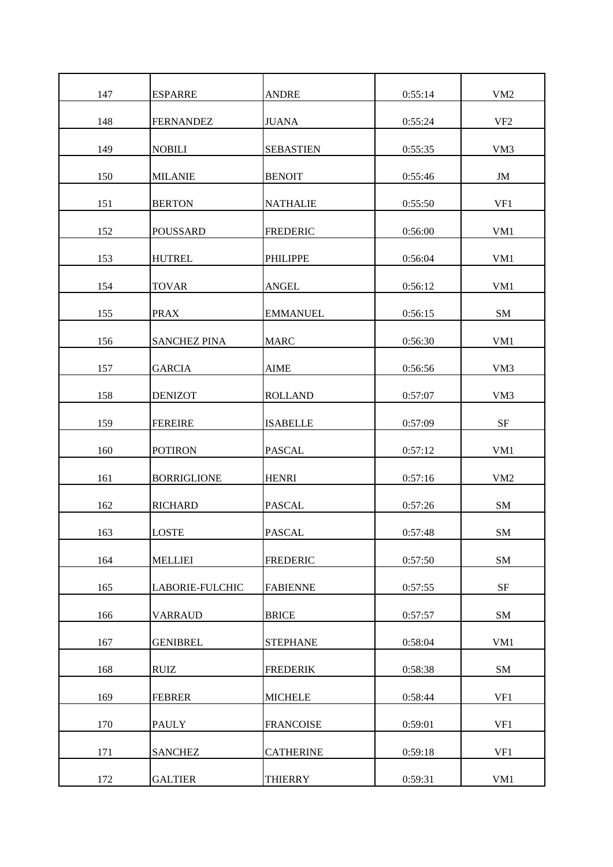| 147 | <b>ESPARRE</b>      | <b>ANDRE</b>     | 0:55:14 | VM <sub>2</sub> |
|-----|---------------------|------------------|---------|-----------------|
| 148 | <b>FERNANDEZ</b>    | <b>JUANA</b>     | 0:55:24 | VF <sub>2</sub> |
| 149 | <b>NOBILI</b>       | <b>SEBASTIEN</b> | 0:55:35 | VM3             |
| 150 | <b>MILANIE</b>      | <b>BENOIT</b>    | 0:55:46 | JM              |
| 151 | <b>BERTON</b>       | <b>NATHALIE</b>  | 0:55:50 | VF1             |
| 152 | <b>POUSSARD</b>     | <b>FREDERIC</b>  | 0:56:00 | VM1             |
| 153 | <b>HUTREL</b>       | <b>PHILIPPE</b>  | 0:56:04 | VM1             |
| 154 | <b>TOVAR</b>        | <b>ANGEL</b>     | 0:56:12 | VM1             |
| 155 | <b>PRAX</b>         | <b>EMMANUEL</b>  | 0:56:15 | SM              |
| 156 | <b>SANCHEZ PINA</b> | <b>MARC</b>      | 0:56:30 | VM1             |
| 157 | <b>GARCIA</b>       | <b>AIME</b>      | 0:56:56 | VM3             |
| 158 | <b>DENIZOT</b>      | <b>ROLLAND</b>   | 0:57:07 | VM3             |
| 159 | <b>FEREIRE</b>      | <b>ISABELLE</b>  | 0:57:09 | SF              |
| 160 | <b>POTIRON</b>      | <b>PASCAL</b>    | 0:57:12 | VM1             |
| 161 | <b>BORRIGLIONE</b>  | <b>HENRI</b>     | 0:57:16 | VM <sub>2</sub> |
| 162 | <b>RICHARD</b>      | <b>PASCAL</b>    | 0:57:26 | SM              |
| 163 | <b>LOSTE</b>        | <b>PASCAL</b>    | 0:57:48 | <b>SM</b>       |
| 164 | <b>MELLIEI</b>      | <b>FREDERIC</b>  | 0:57:50 | ${\bf SM}$      |
| 165 | LABORIE-FULCHIC     | <b>FABIENNE</b>  | 0:57:55 | <b>SF</b>       |
| 166 | <b>VARRAUD</b>      | <b>BRICE</b>     | 0:57:57 | SM              |
| 167 | <b>GENIBREL</b>     | <b>STEPHANE</b>  | 0:58:04 | VM1             |
| 168 | <b>RUIZ</b>         | <b>FREDERIK</b>  | 0:58:38 | SM              |
| 169 | <b>FEBRER</b>       | <b>MICHELE</b>   | 0:58:44 | VF1             |
| 170 | <b>PAULY</b>        | <b>FRANCOISE</b> | 0:59:01 | VF1             |
| 171 | <b>SANCHEZ</b>      | <b>CATHERINE</b> | 0:59:18 | VF1             |
| 172 | <b>GALTIER</b>      | <b>THIERRY</b>   | 0:59:31 | VM1             |